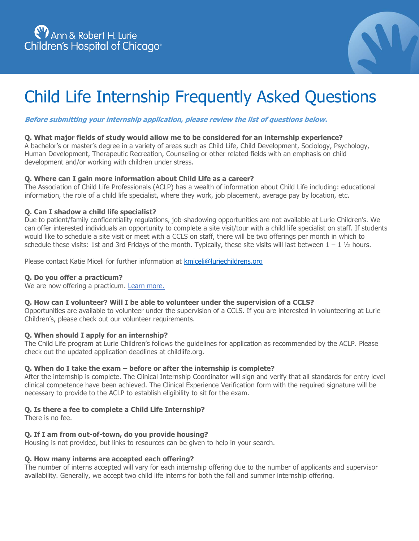

# Child Life Internship Frequently Asked Questions

# **Before submitting your internship application, please review the list of questions below.**

# **Q. What major fields of study would allow me to be considered for an internship experience?**

A bachelor's or master's degree in a variety of areas such as Child Life, Child Development, Sociology, Psychology, Human Development, Therapeutic Recreation, Counseling or other related fields with an emphasis on child development and/or working with children under stress.

#### **Q. Where can I gain more information about Child Life as a career?**

The Association of Child Life Professionals (ACLP) has a wealth of information about Child Life including: educational information, the role of a child life specialist, where they work, job placement, average pay by location, etc.

# **Q. Can I shadow a child life specialist?**

Due to patient/family confidentiality regulations, job-shadowing opportunities are not available at Lurie Children's. We can offer interested individuals an opportunity to complete a site visit/tour with a child life specialist on staff. If students would like to schedule a site visit or meet with a CCLS on staff, there will be two offerings per month in which to schedule these visits: 1st and 3rd Fridays of the month. Typically, these site visits will last between  $1 - 1$   $1/2$  hours.

Please contact Katie Miceli for further information at kmiceli@luriechildrens.org

#### **Q. Do you offer a practicum?**

We are now offering a practicum. Learn more.

#### **Q. How can I volunteer? Will I be able to volunteer under the supervision of a CCLS?**

Opportunities are available to volunteer under the supervision of a CCLS. If you are interested in volunteering at Lurie Children's, please check out our volunteer requirements.

#### **Q. When should I apply for an internship?**

The Child Life program at Lurie Children's follows the guidelines for application as recommended by the ACLP. Please check out the updated application deadlines at childlife.org.

# **Q. When do I take the exam – before or after the internship is complete?**

After the internship is complete. The Clinical Internship Coordinator will sign and verify that all standards for entry level clinical competence have been achieved. The Clinical Experience Verification form with the required signature will be necessary to provide to the ACLP to establish eligibility to sit for the exam.

# **Q. Is there a fee to complete a Child Life Internship?**

There is no fee.

#### **Q. If I am from out-of-town, do you provide housing?**

Housing is not provided, but links to resources can be given to help in your search.

#### **Q. How many interns are accepted each offering?**

The number of interns accepted will vary for each internship offering due to the number of applicants and supervisor availability. Generally, we accept two child life interns for both the fall and summer internship offering.